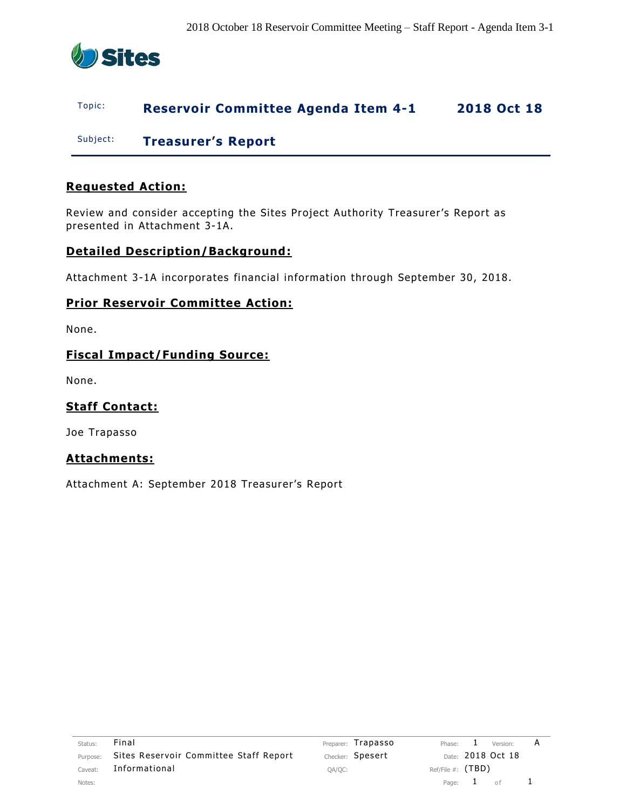

#### Topic: **Reservoir Committee Agenda Item 4-1 2018 Oct 18**

Subject: **Treasurer's Report**

#### **Requested Action:**

Review and consider accepting the Sites Project Authority Treasurer's Report as presented in Attachment 3-1A.

#### **Detailed Description/Background:**

Attachment 3-1A incorporates financial information through September 30, 2018.

#### **Prior Reservoir Committee Action:**

None.

#### **Fiscal Impact/Funding Source:**

None.

#### **Staff Contact:**

Joe Trapasso

#### **Attachments:**

Attachment A: September 2018 Treasurer's Report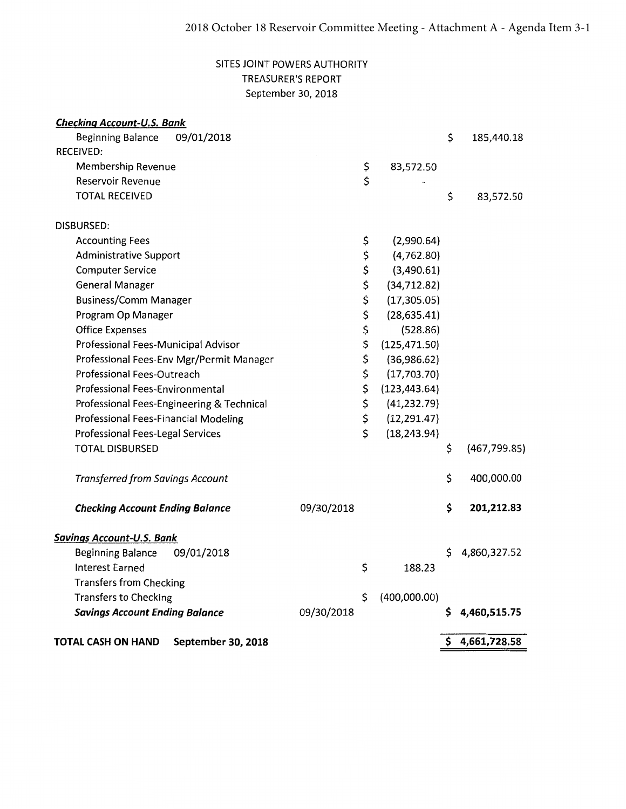#### SITES JOINT POWERS AUTHORITY **TREASURER'S REPORT** September 30, 2018

| TOTAL CASH ON HAND<br>September 30, 2018           |            |          |                          | \$<br>4,661,728.58  |
|----------------------------------------------------|------------|----------|--------------------------|---------------------|
| <b>Savings Account Ending Balance</b>              | 09/30/2018 |          |                          | \$<br>4,460,515.75  |
| <b>Transfers to Checking</b>                       |            | \$       | (400,000.00)             |                     |
| <b>Transfers from Checking</b>                     |            |          |                          |                     |
| Interest Earned                                    |            | \$       | 188.23                   |                     |
| <b>Beginning Balance</b><br>09/01/2018             |            |          |                          | \$<br>4,860,327.52  |
| <b>Savings Account-U.S. Bank</b>                   |            |          |                          |                     |
|                                                    |            |          |                          |                     |
| <b>Checking Account Ending Balance</b>             | 09/30/2018 |          |                          | \$<br>201,212.83    |
| <b>Transferred from Savings Account</b>            |            |          |                          | \$<br>400,000.00    |
| <b>TOTAL DISBURSED</b>                             |            |          |                          | \$<br>(467, 799.85) |
| Professional Fees-Legal Services                   |            | \$       | (18, 243.94)             |                     |
| Professional Fees-Financial Modeling               |            | \$       | (12, 291.47)             |                     |
| Professional Fees-Engineering & Technical          |            | \$       | (41, 232.79)             |                     |
| Professional Fees-Environmental                    |            | \$       | (123, 443.64)            |                     |
| Professional Fees-Outreach                         |            | \$       | (17, 703.70)             |                     |
| Professional Fees-Env Mgr/Permit Manager           |            | \$       | (36,986.62)              |                     |
| Professional Fees-Municipal Advisor                |            | \$       | (125, 471.50)            |                     |
| <b>Office Expenses</b>                             |            | \$<br>\$ | (28, 635.41)<br>(528.86) |                     |
| <b>Business/Comm Manager</b><br>Program Op Manager |            | \$       | (17, 305.05)             |                     |
| <b>General Manager</b>                             |            | \$       | (34, 712.82)             |                     |
| <b>Computer Service</b>                            |            | \$       | (3,490.61)               |                     |
| <b>Administrative Support</b>                      |            | \$       | (4,762.80)               |                     |
| <b>Accounting Fees</b>                             |            | \$       | (2,990.64)               |                     |
| DISBURSED:                                         |            |          |                          |                     |
| <b>TOTAL RECEIVED</b>                              |            |          |                          | \$<br>83,572.50     |
| Reservoir Revenue                                  |            | \$       |                          |                     |
| Membership Revenue                                 |            | \$       | 83,572.50                |                     |
| <b>RECEIVED:</b>                                   |            |          |                          |                     |
| 09/01/2018<br><b>Beginning Balance</b>             |            |          |                          | \$<br>185,440.18    |
| <b>Checking Account-U.S. Bank</b>                  |            |          |                          |                     |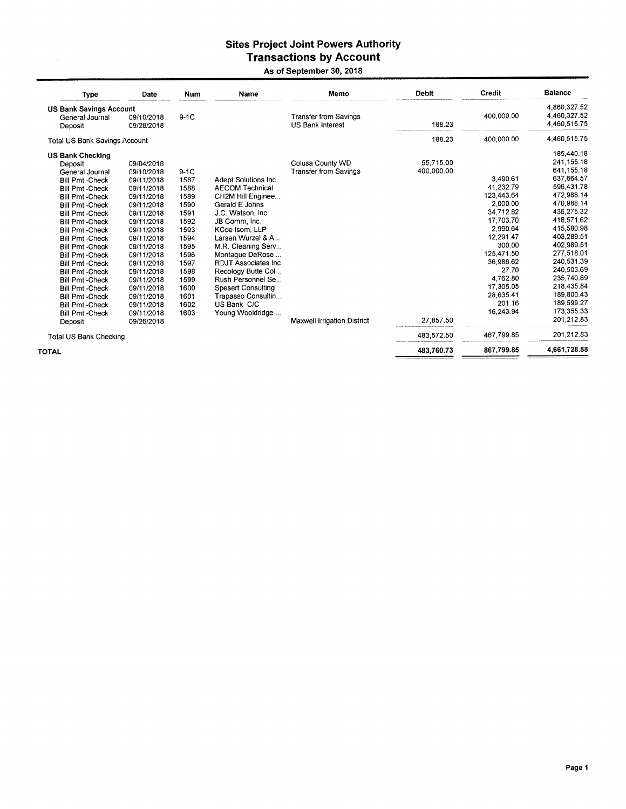## Sites Project Joint Powers Authority<br>Transactions by Account

 $\sim$ 

#### As of September 30, 2018

| <b>Type</b>                          | Date       | Num    | Name                        | Memo                         | <b>Debit</b> | Credit     | <b>Balance</b> |
|--------------------------------------|------------|--------|-----------------------------|------------------------------|--------------|------------|----------------|
| <b>US Bank Savings Account</b>       |            |        |                             |                              |              |            | 4,860,327.52   |
| General Journal                      | 09/10/2018 | $9-1C$ |                             | <b>Transfer from Savings</b> |              | 400,000.00 | 4,460,327.52   |
| Deposit                              | 09/28/2018 |        |                             | <b>US Bank Interest</b>      | 188.23       |            | 4,460,515.75   |
| <b>Total US Bank Savings Account</b> |            |        |                             |                              | 188.23       | 400,000.00 | 4,460,515.75   |
| <b>US Bank Checking</b>              |            |        |                             |                              |              |            | 185,440.18     |
| Deposit                              | 09/04/2018 |        |                             | Colusa County WD             | 55.715.00    |            | 241, 155. 18   |
| General Journal                      | 09/10/2018 | $9-1C$ |                             | <b>Transfer from Savings</b> | 400,000.00   |            | 641,155.18     |
| <b>Bill Pmt-Check</b>                | 09/11/2018 | 1587   | <b>Adept Solutions Inc.</b> |                              |              | 3,490.61   | 637,664.57     |
| <b>Bill Pmt - Check</b>              | 09/11/2018 | 1588   | AECOM Technical             |                              |              | 41,232.79  | 596,431.78     |
| <b>Bill Pmt-Check</b>                | 09/11/2018 | 1589   | CH2M Hill Enginee           |                              |              | 123.443.64 | 472,988.14     |
| <b>Bill Pmt - Check</b>              | 09/11/2018 | 1590   | Gerald E Johns              |                              |              | 2,000.00   | 470,988.14     |
| <b>Bill Pmt-Check</b>                | 09/11/2018 | 1591   | J.C. Watson, Inc.           |                              |              | 34.712.82  | 436,275.32     |
| <b>Bill Pmt-Check</b>                | 09/11/2018 | 1592   | JB Comm, Inc.               |                              |              | 17.703.70  | 418,571.62     |
| <b>Bill Pmt -Check</b>               | 09/11/2018 | 1593   | KCoe Isom, LLP              |                              |              | 2.990.64   | 415,580.98     |
| <b>Bill Pmt - Check</b>              | 09/11/2018 | 1594   | Larsen Wurzel & A           |                              |              | 12.291.47  | 403,289.51     |
| <b>Bill Pmt - Check</b>              | 09/11/2018 | 1595   | M.R. Cleaning Serv          |                              |              | 300.00     | 402,989.51     |
| <b>Bill Pmt - Check</b>              | 09/11/2018 | 1596   | Montague DeRose             |                              |              | 125,471.50 | 277,518.01     |
| <b>Bill Pmt -Check</b>               | 09/11/2018 | 1597   | RDJT Associates Inc.        |                              |              | 36,986.62  | 240,531.39     |
| <b>Bill Pmt - Check</b>              | 09/11/2018 | 1598   | Recology Butte Col          |                              |              | 27.70      | 240,503.69     |
| <b>Bill Pmt-Check</b>                | 09/11/2018 | 1599   | Rush Personnel Se           |                              |              | 4.762.80   | 235,740.89     |
| <b>Bill Pmt -Check</b>               | 09/11/2018 | 1600   | <b>Spesert Consulting</b>   |                              |              | 17,305.05  | 218,435.84     |
| <b>Bill Pmt - Check</b>              | 09/11/2018 | 1601   | Trapasso Consultin          |                              |              | 28.635.41  | 189,800.43     |
| <b>Bill Pmt - Check</b>              | 09/11/2018 | 1602   | US Bank C/C                 |                              |              | 201.16     | 189,599.27     |
| <b>Bill Pmt - Check</b>              | 09/11/2018 | 1603   | Young Wooldridge            |                              |              | 16,243.94  | 173,355.33     |
| Deposit                              | 09/26/2018 |        |                             | Maxwell Irrigation District  | 27.857.50    |            | 201,212.83     |
| <b>Total US Bank Checking</b>        |            |        |                             |                              | 483 572 50   | 467.799.85 | 201,212.83     |
| <b>TOTAL</b>                         |            |        |                             |                              | 483,760.73   | 867,799.85 | 4,661,728.58   |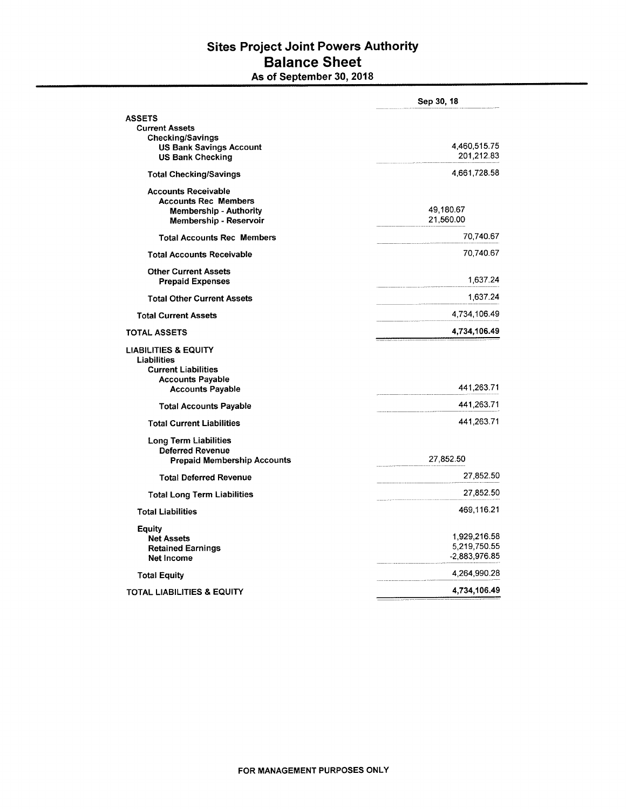#### **Sites Project Joint Powers Authority Balance Sheet** As of September 30, 2018

|                                                           | Sep 30, 18    |
|-----------------------------------------------------------|---------------|
| <b>ASSETS</b>                                             |               |
| <b>Current Assets</b>                                     |               |
| <b>Checking/Savings</b><br><b>US Bank Savings Account</b> | 4,460,515.75  |
| <b>US Bank Checking</b>                                   | 201,212.83    |
| <b>Total Checking/Savings</b>                             | 4,661,728.58  |
| <b>Accounts Receivable</b>                                |               |
| <b>Accounts Rec Members</b>                               |               |
| <b>Membership - Authority</b>                             | 49,180.67     |
| Membership - Reservoir                                    | 21,560.00     |
| <b>Total Accounts Rec Members</b>                         | 70,740.67     |
| <b>Total Accounts Receivable</b>                          | 70,740.67     |
| <b>Other Current Assets</b>                               |               |
| <b>Prepaid Expenses</b>                                   | 1,637.24      |
| <b>Total Other Current Assets</b>                         | 1,637.24      |
| <b>Total Current Assets</b>                               | 4,734,106.49  |
| <b>TOTAL ASSETS</b>                                       | 4,734,106.49  |
| <b>LIABILITIES &amp; EQUITY</b>                           |               |
| Liabilities                                               |               |
| <b>Current Liabilities</b>                                |               |
| <b>Accounts Payable</b>                                   |               |
| <b>Accounts Payable</b>                                   | 441,263.71    |
| <b>Total Accounts Payable</b>                             | 441,263.71    |
| <b>Total Current Liabilities</b>                          | 441,263.71    |
| Long Term Liabilities                                     |               |
| <b>Deferred Revenue</b>                                   |               |
| <b>Prepaid Membership Accounts</b>                        | 27,852.50     |
| <b>Total Deferred Revenue</b>                             | 27,852.50     |
| <b>Total Long Term Liabilities</b>                        | 27,852.50     |
| <b>Total Liabilities</b>                                  | 469,116.21    |
| Equity                                                    |               |
| <b>Net Assets</b>                                         | 1,929,216.58  |
| <b>Retained Earnings</b>                                  | 5,219,750.55  |
| Net Income                                                | -2.883,976.85 |
| <b>Total Equity</b>                                       | 4,264,990.28  |
| TOTAL LIABILITIES & EQUITY                                | 4,734,106.49  |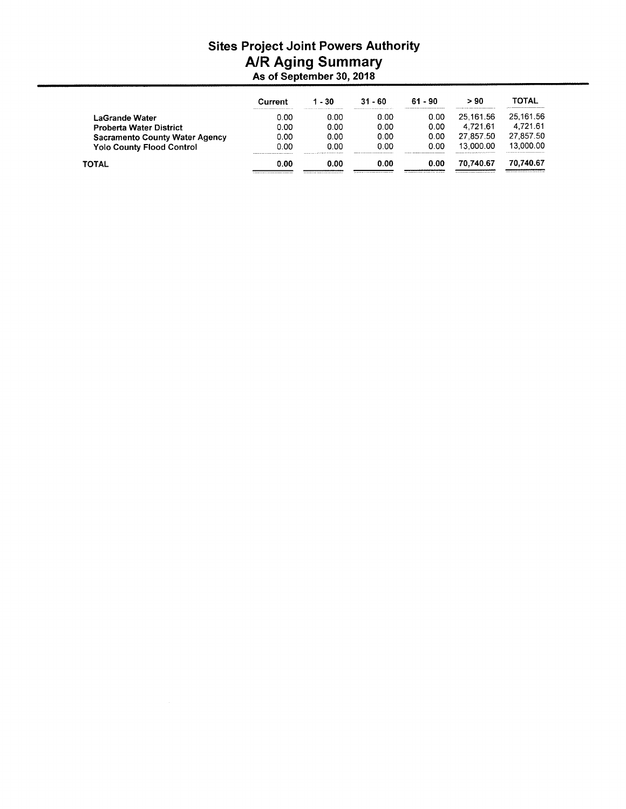## Sites Project Joint Powers Authority<br>A/R Aging Summary

| As of September 30, 2018 |  |  |  |
|--------------------------|--|--|--|
|--------------------------|--|--|--|

|                                       | Current | - 30                                                                                                                                                                                                                                   | $31 - 60$ | $61 - 90$ | > 90                                                                           | TOTAL                                                                                       |
|---------------------------------------|---------|----------------------------------------------------------------------------------------------------------------------------------------------------------------------------------------------------------------------------------------|-----------|-----------|--------------------------------------------------------------------------------|---------------------------------------------------------------------------------------------|
| <b>LaGrande Water</b>                 | 0.00    | 0.00                                                                                                                                                                                                                                   | 0.00      | 0.00      | 25.161.56                                                                      | 25.161.56                                                                                   |
| <b>Proberta Water District</b>        | 0.00    | 0.00                                                                                                                                                                                                                                   | 0.00      | 0.00      | 4.721.61                                                                       | 4.721.61                                                                                    |
| <b>Sacramento County Water Agency</b> | 0.00    | 0.00                                                                                                                                                                                                                                   | 0.00      | 0.OO      | 27.857.50                                                                      | 27,857.50                                                                                   |
| <b>Yolo County Flood Control</b>      | 0.00    | 0.00<br>produced and a control to the control of the control of the control of the control of the control of the control of the control of the control of the control of the control of the control of the control of the control of t | 0.00      | 0.00      | 13.000.00<br>construction of the four series of a first and series of the con- | 13.000.00<br>with a six and the contract of the contract of the contract of the contract of |
| <b>TOTAL</b>                          | 0.00    | 0.00                                                                                                                                                                                                                                   | 0.00      | 0.00      | 70.740.67                                                                      | 70.740.67                                                                                   |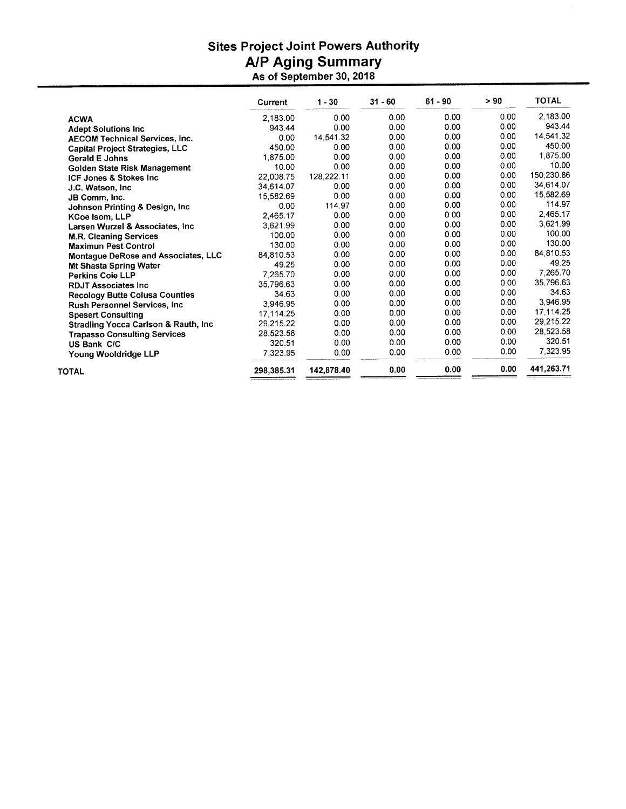# Sites Project Joint Powers Authority<br>A/P Aging Summary<br>As of September 30, 2018

|                                                  | Current    | $1 - 30$   | $31 - 60$ | $61 - 90$ | > 90 | <b>TOTAL</b> |
|--------------------------------------------------|------------|------------|-----------|-----------|------|--------------|
| <b>ACWA</b>                                      | 2,183.00   | 0.00       | 0.00      | 0.00      | 0.00 | 2,183.00     |
| <b>Adept Solutions Inc.</b>                      | 943.44     | 0.00       | 0.00      | 0.00      | 0.00 | 943.44       |
| <b>AECOM Technical Services, Inc.</b>            | 0.00       | 14,541.32  | 0.00      | 0.00      | 0.00 | 14,541.32    |
| <b>Capital Project Strategies, LLC</b>           | 450.00     | 0.00       | 0.00      | 0.00      | 0.00 | 450.00       |
| <b>Gerald E Johns</b>                            | 1.875.00   | 0.00       | 0.00      | 0.00      | 0.00 | 1,875.00     |
| Golden State Risk Management                     | 10.00      | 0.00       | 0.00      | 0.00      | 0.00 | 10.00        |
| ICF Jones & Stokes Inc.                          | 22.008.75  | 128,222.11 | 0.00      | 0.00      | 0.00 | 150,230.86   |
| J.C. Watson, Inc.                                | 34,614.07  | 0.00       | 0.00      | 0.00      | 0.00 | 34,614.07    |
| JB Comm, Inc.                                    | 15,582.69  | 0.00       | 0.00      | 0.00      | 0.00 | 15,582.69    |
| Johnson Printing & Design, Inc.                  | 0.00       | 114.97     | 0.00      | 0.00      | 0.00 | 114.97       |
| KCoe Isom, LLP                                   | 2,465.17   | 0.00       | 0.00      | 0.00      | 0.00 | 2,465.17     |
| Larsen Wurzel & Associates, Inc.                 | 3,621.99   | 0.00       | 0.00      | 0.00      | 0.00 | 3,621.99     |
| <b>M.R. Cleaning Services</b>                    | 100.00     | 0.00       | 0.00      | 0.00      | 0.00 | 100.00       |
| <b>Maximun Pest Control</b>                      | 130.00     | 0.00       | 0.00      | 0.00      | 0.00 | 130.00       |
| <b>Montague DeRose and Associates, LLC</b>       | 84,810.53  | 0.00       | 0.00      | 0.00      | 0.00 | 84,810.53    |
| <b>Mt Shasta Spring Water</b>                    | 49.25      | 0.00       | 0.00      | 0.00      | 0.00 | 49.25        |
| <b>Perkins Coie LLP</b>                          | 7,265.70   | 0.00       | 0.00      | 0.00      | 0.00 | 7,265.70     |
| <b>RDJT Associates Inc.</b>                      | 35.796.63  | 0.00       | 0.00      | 0.00      | 0.00 | 35,796.63    |
| <b>Recology Butte Colusa Counties</b>            | 34.63      | 0.00       | 0.00      | 0.00      | 0.00 | 34.63        |
| <b>Rush Personnel Services, Inc.</b>             | 3,946.95   | 0.00       | 0.00      | 0.00      | 0.00 | 3,946.95     |
| <b>Spesert Consulting</b>                        | 17,114.25  | 0.00       | 0.00      | 0.00      | 0.00 | 17,114.25    |
| <b>Stradling Yocca Carlson &amp; Rauth, Inc.</b> | 29,215.22  | 0.00       | 0.00      | 0.00      | 0.00 | 29,215.22    |
| <b>Trapasso Consulting Services</b>              | 28,523.58  | 0.00       | 0.00      | 0.00      | 0.00 | 28,523.58    |
| US Bank C/C                                      | 320.51     | 0.00       | 0.00      | 0.00      | 0.00 | 320.51       |
| Young Wooldridge LLP                             | 7,323.95   | 0.00       | 0.00      | 0.00      | 0.00 | 7,323.95     |
| <b>TOTAL</b>                                     | 298.385.31 | 142,878.40 | 0.00      | 0.00      | 0.00 | 441,263.71   |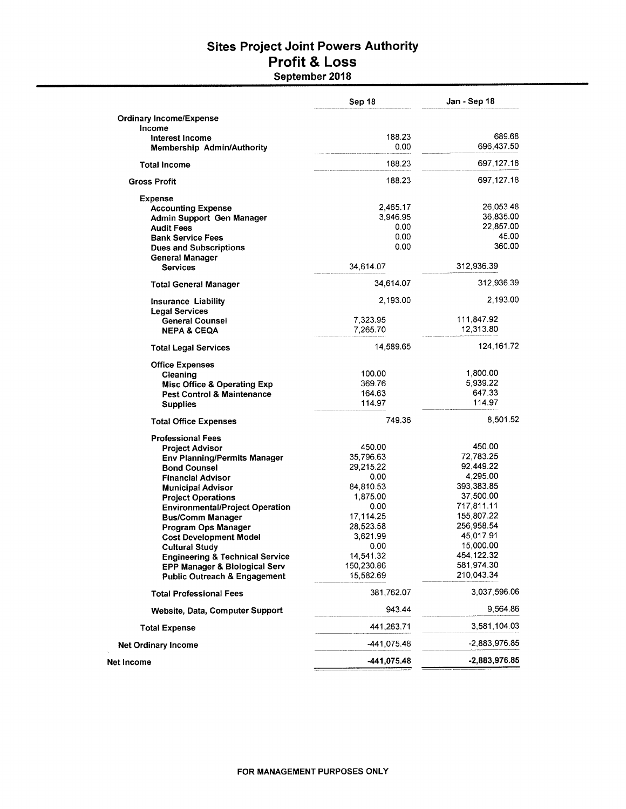#### **Sites Project Joint Powers Authority Profit & Loss** September 2018

|                                                                     | Sep 18            | Jan - Sep 18            |
|---------------------------------------------------------------------|-------------------|-------------------------|
| <b>Ordinary Income/Expense</b>                                      |                   |                         |
| Income                                                              |                   |                         |
| Interest Income                                                     | 188.23            | 689.68                  |
| <b>Membership Admin/Authority</b>                                   | 0.00              | 696,437.50              |
| <b>Total Income</b>                                                 | 188.23            | 697,127.18              |
| <b>Gross Profit</b>                                                 | 188.23            | 697,127.18              |
| <b>Expense</b>                                                      |                   |                         |
| <b>Accounting Expense</b>                                           | 2,465.17          | 26,053.48               |
| Admin Support Gen Manager                                           | 3,946.95          | 36,835.00               |
| <b>Audit Fees</b>                                                   | 0.00              | 22,857.00               |
| <b>Bank Service Fees</b>                                            | 0.00              | 45.00                   |
| <b>Dues and Subscriptions</b>                                       | 0.00              | 360.00                  |
| <b>General Manager</b><br><b>Services</b>                           | 34,614.07         | 312,936.39              |
|                                                                     |                   |                         |
| <b>Total General Manager</b>                                        | 34,614.07         | 312,936.39              |
| Insurance Liability                                                 | 2,193.00          | 2,193.00                |
| <b>Legal Services</b><br><b>General Counsel</b>                     | 7,323.95          | 111,847.92              |
| <b>NEPA &amp; CEQA</b>                                              | 7,265.70          | 12,313.80               |
| <b>Total Legal Services</b>                                         | 14,589.65         | 124,161.72              |
| <b>Office Expenses</b>                                              |                   |                         |
| Cleaning                                                            | 100.00            | 1,800.00                |
| Misc Office & Operating Exp                                         | 369.76            | 5,939.22                |
| <b>Pest Control &amp; Maintenance</b>                               | 164.63            | 647.33                  |
| <b>Supplies</b>                                                     | 114.97            | 114.97                  |
| <b>Total Office Expenses</b>                                        | 749.36            | 8,501.52                |
| <b>Professional Fees</b>                                            |                   |                         |
| <b>Project Advisor</b>                                              | 450.00            | 450.00                  |
| <b>Env Planning/Permits Manager</b>                                 | 35,796.63         | 72,783.25               |
| <b>Bond Counsel</b>                                                 | 29,215.22         | 92,449.22               |
| <b>Financial Advisor</b>                                            | 0.00              | 4,295.00                |
| <b>Municipal Advisor</b>                                            | 84,810.53         | 393,383.85              |
| <b>Project Operations</b>                                           | 1,875.00          | 37,500.00               |
| <b>Environmental/Project Operation</b>                              | 0.00              | 717,811.11              |
| <b>Bus/Comm Manager</b>                                             | 17,114.25         | 155,807.22              |
| Program Ops Manager                                                 | 28,523.58         | 256,958.54<br>45,017.91 |
| <b>Cost Development Model</b>                                       | 3,621.99          | 15,000.00               |
| <b>Cultural Study</b><br><b>Engineering &amp; Technical Service</b> | 0.00<br>14,541.32 | 454,122.32              |
| EPP Manager & Biological Serv                                       | 150,230.86        | 581,974.30              |
| Public Outreach & Engagement                                        | 15,582.69         | 210,043.34              |
| <b>Total Professional Fees</b>                                      | 381,762.07        | 3,037,596.06            |
| Website, Data, Computer Support                                     | 943.44            | 9,564.86                |
| <b>Total Expense</b>                                                | 441,263.71        | 3,581,104.03            |
| <b>Net Ordinary Income</b>                                          | -441,075.48       | -2,883,976.85           |
| Net Income                                                          | -441,075.48       | $-2,883,976.85$         |
|                                                                     |                   |                         |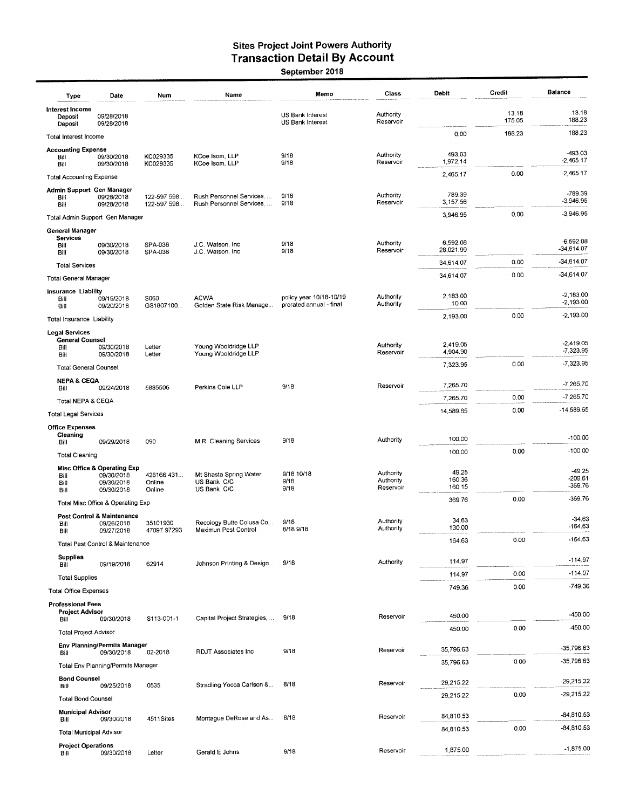## Sites Project Joint Powers Authority<br>Transaction Detail By Account<br>September 2018

| Type                                       | Date                                                | Num                            | Name                                                 | Memo                                               | Class                               | Debit                | Credit          | <b>Balance</b>             |
|--------------------------------------------|-----------------------------------------------------|--------------------------------|------------------------------------------------------|----------------------------------------------------|-------------------------------------|----------------------|-----------------|----------------------------|
| Interest Income<br>Deposit<br>Deposit      | 09/28/2018<br>09/28/2018                            |                                |                                                      | US Bank Interest<br>US Bank Interest               | Authority<br>Reservoir              |                      | 13.18<br>175.05 | 13.18<br>188.23            |
| Total Interest Income                      |                                                     |                                |                                                      |                                                    |                                     | 0.00                 | 188.23          | 188.23                     |
| <b>Accounting Expense</b><br>Bill          | 09/30/2018<br>09/30/2018                            | KC029335<br>KC029335           | KCoe Isom, LLP<br>KCoe Isom, LLP                     | 9/18<br>9/18                                       | Authority<br>Reservoir              | 493.03<br>1,972.14   |                 | -493.03<br>$-2,465.17$     |
| Bill<br><b>Total Accounting Expense</b>    |                                                     |                                |                                                      |                                                    |                                     | 2,465.17             | 0.00            | $-2,465.17$                |
| Admin Support Gen Manager                  |                                                     |                                |                                                      |                                                    |                                     |                      |                 |                            |
| Bill<br>Bill                               | 09/28/2018<br>09/28/2018                            | 122-597 598<br>122-597 598     | Rush Personnel Services,<br>Rush Personnel Services, | 9/18<br>9/18                                       | Authority<br>Reservoir              | 789.39<br>3,157.56   |                 | -789.39<br>$-3,946.95$     |
|                                            | Total Admin Support Gen Manager                     |                                |                                                      |                                                    |                                     | 3,946.95             | 0.00            | $-3,946.95$                |
| General Manager<br><b>Services</b><br>Bill | 09/30/2018                                          | SPA-038                        | J.C. Watson, Inc.                                    | 9/18                                               | Authority                           | 6,592.08             |                 | $-6,592.08$                |
| Bill                                       | 09/30/2018                                          | SPA-038                        | J.C. Watson, Inc.                                    | 9/18                                               | Reservoir                           | 28,021.99            |                 | $-34,614.07$               |
| <b>Total Services</b>                      |                                                     |                                |                                                      |                                                    |                                     | 34,614.07            | 0.00            | $-34,614.07$               |
| <b>Total General Manager</b>               |                                                     |                                |                                                      |                                                    |                                     | 34.614.07            | 0.00            | $-34,614.07$               |
| Insurance Liability<br>Bill<br>Bill        | 09/19/2018<br>09/20/2018                            | S060<br>GS1807100              | <b>ACWA</b><br>Golden State Risk Manage              | policy year 10/18-10/19<br>prorated annual - final | Authority<br>Authority              | 2,183.00<br>10.00    |                 | $-2,183.00$<br>$-2,193.00$ |
| Total Insurance Liability                  |                                                     |                                |                                                      |                                                    |                                     | 2,193.00             | 0.00            | $-2,193.00$                |
| <b>Legal Services</b>                      |                                                     |                                |                                                      |                                                    |                                     |                      |                 |                            |
| <b>General Counsel</b><br>Bill             | 09/30/2018<br>09/30/2018                            | Letter                         | Young Wooldridge LLP<br>Young Wooldridge LLP         |                                                    | Authority<br>Reservoir              | 2,419.05<br>4,904.90 |                 | $-2.419.05$<br>$-7,323.95$ |
| Bill<br><b>Total General Counsel</b>       |                                                     | Letter                         |                                                      |                                                    |                                     | 7,323.95             | 0.00            | -7,323.95                  |
| <b>NEPA &amp; CEQA</b>                     |                                                     |                                |                                                      |                                                    |                                     |                      |                 |                            |
| Bill                                       | 09/24/2018                                          | 5885506                        | Perkins Coie LLP                                     | 9/18                                               | Reservoir                           | 7,265.70             |                 | $-7,265.70$                |
| Total NEPA & CEQA                          |                                                     |                                |                                                      |                                                    |                                     | 7,265.70             | 0.00            | -7,265.70                  |
| <b>Total Legal Services</b>                |                                                     |                                |                                                      |                                                    |                                     | 14,589.65            | 0.00            | -14,589.65                 |
| <b>Office Expenses</b><br>Cleaning<br>Bill | 09/29/2018                                          | 090                            | M.R. Cleaning Services                               | 9/18                                               | Authority                           | 100.00               |                 | $-100.00$                  |
| <b>Total Cleaning</b>                      |                                                     |                                |                                                      |                                                    |                                     | 100.00               | 0.00            | $-100.00$                  |
|                                            | Misc Office & Operating Exp                         |                                |                                                      |                                                    |                                     | 49.25                |                 | $-49.25$                   |
| Bill<br>Bill<br>Bill                       | 09/30/2018<br>09/30/2018<br>09/30/2018              | 426166 431<br>Online<br>Online | Mt Shasta Spring Water<br>US Bank C/C<br>US Bank C/C | 9/18 10/18<br>9/18<br>9/18                         | Authority<br>Authority<br>Reservoir | 160.36<br>160.15     |                 | -209.61<br>-369.76         |
|                                            | Total Misc Office & Operating Exp                   |                                |                                                      |                                                    |                                     | 369.76               | 0.00            | $-369.76$                  |
| Bill                                       | <b>Pest Control &amp; Maintenance</b><br>09/26/2018 | 35101930                       | Recology Butte Colusa Co                             | 9/18                                               | Authority                           | 34.63                |                 | $-34.63$                   |
| Bill                                       | 09/27/2018                                          | 47097 97293                    | Maximun Pest Control                                 | 8/18 9/18                                          | Authority                           | 130.00               |                 | $-164.63$                  |
|                                            | Total Pest Control & Maintenance                    |                                |                                                      |                                                    |                                     | 164.63               | 0.00            | $-164.63$                  |
| <b>Supplies</b><br>Bill                    | 09/19/2018                                          | 62914                          | Johnson Printing & Design                            | 9/18                                               | Authority                           | 114.97               |                 | $-114.97$                  |
| <b>Total Supplies</b>                      |                                                     |                                |                                                      |                                                    |                                     | 114.97               | 0.00            | $-114.97$                  |
| <b>Total Office Expenses</b>               |                                                     |                                |                                                      |                                                    |                                     | 749.36               | 0.00            | $-749.36$                  |
| <b>Professional Fees</b>                   |                                                     |                                |                                                      |                                                    |                                     |                      |                 |                            |
| <b>Project Advisor</b><br>Bill             | 09/30/2018                                          | S113-001-1                     | Capital Project Strategies,                          | 9/18                                               | Reservoir                           | 450.00               |                 | $-450.00$                  |
| <b>Total Project Advisor</b>               |                                                     |                                |                                                      |                                                    |                                     | 450.00               | 0.00            | -450.00                    |
| Bill                                       | Env Planning/Permits Manager<br>09/30/2018          | 02-2018                        | RDJT Associates Inc                                  | 9/18                                               | Reservoir                           | 35,796.63            |                 | -35,796.63                 |
|                                            | Total Env Planning/Permits Manager                  |                                |                                                      |                                                    |                                     | 35,796.63            | 0.00            | -35,796.63                 |
| <b>Bond Counsel</b><br>Bill                | 09/25/2018                                          | 0535                           | Stradling Yocca Carlson &                            | 8/18                                               | Reservoir                           | 29,215.22            |                 | $-29,215.22$               |
| <b>Total Bond Counsel</b>                  |                                                     |                                |                                                      |                                                    |                                     | 29,215.22            | 0.00            | $-29,215.22$               |
| <b>Municipal Advisor</b>                   |                                                     |                                | Montague DeRose and As                               | 8/18                                               | Reservoir                           | 84,810.53            |                 | -84,810.53                 |
| Bill<br>Total Municipal Advisor            | 09/30/2018                                          | 4511Sites                      |                                                      |                                                    |                                     | 84,810.53            | 0.00            | -84,810.53                 |
| <b>Project Operations</b>                  |                                                     |                                |                                                      |                                                    |                                     |                      |                 |                            |
| Bill                                       | 09/30/2018                                          | Letter                         | Gerald E Johns                                       | 9/18                                               | Reservoir                           | 1,875.00             |                 | $-1,875.00$                |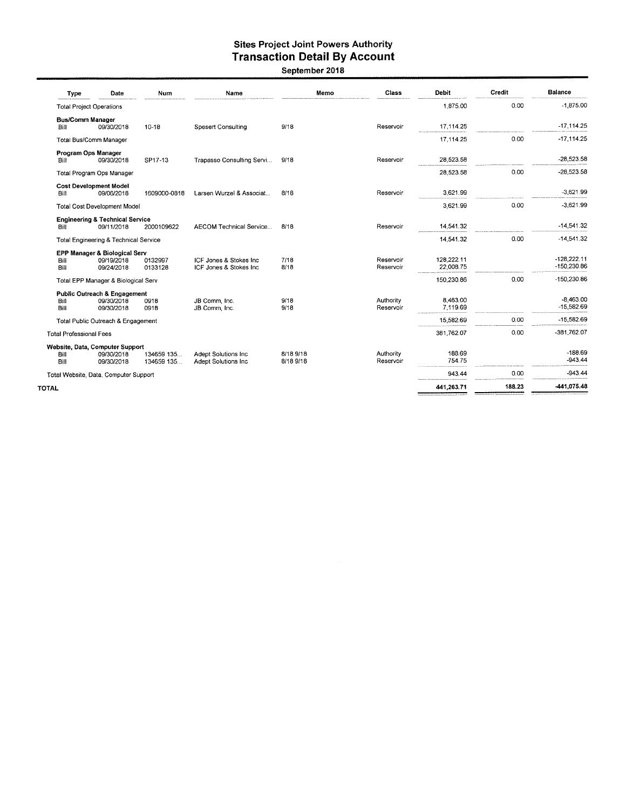### Sites Project Joint Powers Authority<br>Transaction Detail By Account September 2018

| Type                            | Date                                                     | Num                       | Name                                              | Memo                   | Class                  | <b>Debit</b>            | Credit | <b>Balance</b>               |
|---------------------------------|----------------------------------------------------------|---------------------------|---------------------------------------------------|------------------------|------------------------|-------------------------|--------|------------------------------|
| <b>Total Project Operations</b> |                                                          |                           |                                                   |                        |                        | 1,875.00                | 0.00   | $-1,875.00$                  |
| <b>Bus/Comm Manager</b><br>Bill | 09/30/2018                                               | $10 - 18$                 | <b>Spesert Consulting</b>                         | 9/18                   | Reservoir              | 17,114.25               |        | $-17, 114.25$                |
|                                 | Total Bus/Comm Manager                                   |                           |                                                   |                        |                        | 17,114.25               | 0.00   | $-17.114.25$                 |
| Program Ops Manager             |                                                          |                           |                                                   |                        |                        |                         |        |                              |
| Bill                            | 09/30/2018                                               | SP17-13                   | Trapasso Consulting Servi                         | 9/18                   | Reservoir              | 28,523.58               |        | $-28,523.58$                 |
|                                 | Total Program Ops Manager                                |                           |                                                   |                        |                        | 28,523.58               | 0.00   | $-28,523.58$                 |
| Bill                            | <b>Cost Development Model</b><br>09/06/2018              | 1609000-0818              | Larsen Wurzel & Associat                          | 8/18                   | Reservoir              | 3.621.99                |        | $-3,621.99$                  |
|                                 | Total Cost Development Model                             |                           |                                                   |                        |                        | 3,621.99                | 0.00   | $-3,621.99$                  |
| Bill                            | <b>Engineering &amp; Technical Service</b><br>09/11/2018 | 2000109622                | <b>AECOM Technical Service</b>                    | 8/18                   | Reservoir              | 14,541.32               |        | $-14,541.32$                 |
|                                 | Total Engineering & Technical Service                    |                           |                                                   |                        |                        | 14.541.32               | 0.00   | $-14,541.32$                 |
|                                 | EPP Manager & Biological Serv                            |                           |                                                   |                        |                        |                         |        |                              |
| Bill<br>Bill                    | 09/19/2018<br>09/24/2018                                 | 0132997<br>0133128        | ICF Jones & Stokes Inc<br>ICF Jones & Stokes Inc  | 7/18<br>8/18           | Reservoir<br>Reservoir | 128.222.11<br>22,008.75 |        | $-128,222.11$<br>-150,230.86 |
|                                 | Total EPP Manager & Biological Serv                      |                           |                                                   |                        |                        | 150,230.86              | 0.00   | $-150,230.86$                |
|                                 | Public Outreach & Engagement                             |                           |                                                   |                        |                        |                         |        |                              |
| Bill<br>Bill                    | 09/30/2018<br>09/30/2018                                 | 0918<br>0918              | JB Comm, Inc.<br>JB Comm, Inc.                    | 9/18<br>9/18           | Authority<br>Reservoir | 8,463.00<br>7,119.69    |        | $-8.463.00$<br>$-15,582.69$  |
|                                 | Total Public Outreach & Engagement                       |                           |                                                   |                        |                        | 15,582.69               | 0.00   | $-15.582.69$                 |
| <b>Total Professional Fees</b>  |                                                          |                           |                                                   |                        |                        | 381,762.07              | 0.00   | -381,762.07                  |
|                                 | Website, Data, Computer Support                          |                           |                                                   |                        |                        |                         |        |                              |
| Bill<br>Bill                    | 09/30/2018<br>09/30/2018                                 | 134659 135.<br>134659 135 | <b>Adept Solutions Inc</b><br>Adept Solutions Inc | 8/18 9/18<br>8/18 9/18 | Authority<br>Reservoir | 188.69<br>754.75        |        | $-188.69$<br>$-943.44$       |
|                                 | Total Website, Data, Computer Support                    |                           |                                                   |                        |                        | 943.44                  | 0.00   | $-943.44$                    |
| OTAL                            |                                                          |                           |                                                   |                        |                        | 441,263.71              | 188.23 | -441,075.48                  |
|                                 |                                                          |                           |                                                   |                        |                        |                         |        |                              |

**TOT**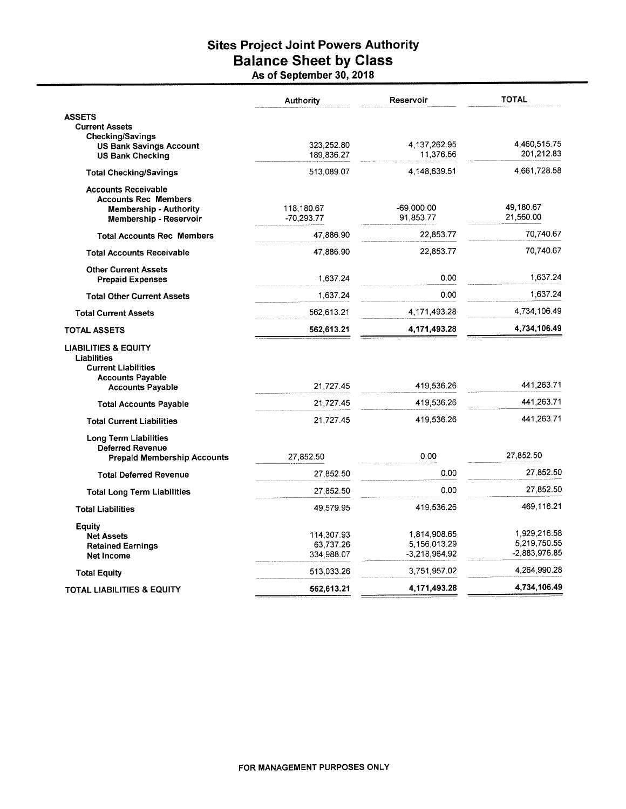## **Sites Project Joint Powers Authority** Balance Sheet by Class<br>As of September 30, 2018

|                                                               | <b>Authority</b> | Reservoir       | <b>TOTAL</b>                  |
|---------------------------------------------------------------|------------------|-----------------|-------------------------------|
| <b>ASSETS</b>                                                 |                  |                 |                               |
| <b>Current Assets</b>                                         |                  |                 |                               |
| <b>Checking/Savings</b><br><b>US Bank Savings Account</b>     | 323,252.80       | 4,137,262.95    | 4,460,515.75                  |
| <b>US Bank Checking</b>                                       | 189,836.27       | 11,376.56       | 201,212.83                    |
| <b>Total Checking/Savings</b>                                 | 513,089.07       | 4,148,639.51    | 4,661,728.58                  |
| <b>Accounts Receivable</b>                                    |                  |                 |                               |
| <b>Accounts Rec Members</b>                                   |                  |                 |                               |
| <b>Membership - Authority</b>                                 | 118,180.67       | -69,000.00      | 49,180.67<br>21,560.00        |
| Membership - Reservoir                                        | $-70,293.77$     | 91,853.77       |                               |
| <b>Total Accounts Rec Members</b>                             | 47,886.90        | 22,853.77       | 70,740.67                     |
| <b>Total Accounts Receivable</b>                              | 47,886.90        | 22,853.77       | 70,740.67                     |
| <b>Other Current Assets</b><br><b>Prepaid Expenses</b>        | 1,637.24         | 0.00            | 1,637.24                      |
| <b>Total Other Current Assets</b>                             | 1,637.24         | 0.00            | 1,637.24                      |
|                                                               |                  |                 | 4,734,106.49                  |
| <b>Total Current Assets</b>                                   | 562,613.21       | 4,171,493.28    |                               |
| <b>TOTAL ASSETS</b>                                           | 562,613.21       | 4,171,493.28    | 4,734,106.49                  |
| <b>LIABILITIES &amp; EQUITY</b>                               |                  |                 |                               |
| Liabilities                                                   |                  |                 |                               |
| <b>Current Liabilities</b>                                    |                  |                 |                               |
| <b>Accounts Payable</b><br><b>Accounts Payable</b>            | 21,727.45        | 419,536.26      | 441,263.71                    |
| <b>Total Accounts Payable</b>                                 | 21,727.45        | 419,536.26      | 441,263.71                    |
|                                                               |                  | 419,536.26      | 441,263.71                    |
| <b>Total Current Liabilities</b>                              | 21,727.45        |                 |                               |
| Long Term Liabilities                                         |                  |                 |                               |
| <b>Deferred Revenue</b><br><b>Prepaid Membership Accounts</b> | 27,852.50        | 0.00            | 27,852.50                     |
| <b>Total Deferred Revenue</b>                                 | 27,852.50        | 0.00            | 27.852.50                     |
| <b>Total Long Term Liabilities</b>                            | 27,852.50        | 0.00            | 27,852.50                     |
| <b>Total Liabilities</b>                                      | 49,579.95        | 419,536.26      | 469,116.21                    |
| Eauity                                                        |                  |                 |                               |
| <b>Net Assets</b>                                             | 114,307.93       | 1,814,908.65    | 1,929,216.58                  |
| <b>Retained Earnings</b>                                      | 63,737.26        | 5,156,013.29    | 5,219,750.55<br>-2.883,976.85 |
| Net Income                                                    | 334,988.07       | $-3,218,964.92$ |                               |
| <b>Total Equity</b>                                           | 513,033.26       | 3,751,957.02    | 4,264,990.28                  |
| TOTAL LIABILITIES & EQUITY                                    | 562,613.21       | 4,171,493.28    | 4,734,106.49                  |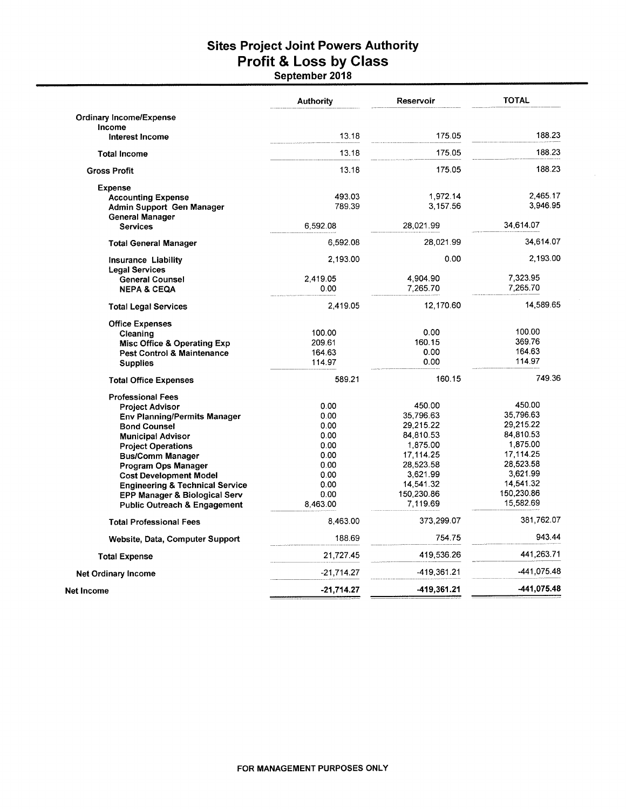# Sites Project Joint Powers Authority<br>Profit & Loss by Class<br>September 2018

|                                            | <b>Authority</b> | Reservoir   | <b>TOTAL</b> |
|--------------------------------------------|------------------|-------------|--------------|
| <b>Ordinary Income/Expense</b>             |                  |             |              |
| Income                                     |                  |             |              |
| Interest Income                            | 13.18            | 175.05      | 188.23       |
| <b>Total Income</b>                        | 13.18            | 175.05      | 188.23       |
| <b>Gross Profit</b>                        | 13.18            | 175.05      | 188.23       |
| <b>Expense</b>                             |                  |             |              |
| <b>Accounting Expense</b>                  | 493.03           | 1,972.14    | 2,465.17     |
| Admin Support Gen Manager                  | 789.39           | 3,157.56    | 3,946.95     |
| General Manager                            |                  |             |              |
| <b>Services</b>                            | 6,592.08         | 28,021.99   | 34,614.07    |
| <b>Total General Manager</b>               | 6,592.08         | 28,021.99   | 34,614.07    |
|                                            | 2,193.00         | 0.00        | 2,193.00     |
| Insurance Liability                        |                  |             |              |
| <b>Legal Services</b>                      | 2.419.05         | 4,904.90    | 7,323.95     |
| <b>General Counsel</b>                     | 0.00             | 7,265.70    | 7,265.70     |
| <b>NEPA &amp; CEQA</b>                     |                  |             |              |
| <b>Total Legal Services</b>                | 2,419.05         | 12,170.60   | 14,589.65    |
| <b>Office Expenses</b>                     |                  |             |              |
| Cleaning                                   | 100.00           | 0.00        | 100.00       |
| <b>Misc Office &amp; Operating Exp</b>     | 209.61           | 160.15      | 369.76       |
| <b>Pest Control &amp; Maintenance</b>      | 164.63           | 0.00        | 164.63       |
| <b>Supplies</b>                            | 114.97           | 0.00        | 114.97       |
| <b>Total Office Expenses</b>               | 589.21           | 160.15      | 749.36       |
| <b>Professional Fees</b>                   |                  |             |              |
| <b>Project Advisor</b>                     | 0.00             | 450.00      | 450.00       |
| <b>Env Planning/Permits Manager</b>        | 0.00             | 35,796.63   | 35,796.63    |
| <b>Bond Counsel</b>                        | 0.00             | 29,215.22   | 29,215.22    |
| <b>Municipal Advisor</b>                   | 0.00             | 84,810.53   | 84,810.53    |
| <b>Project Operations</b>                  | 0.00             | 1,875.00    | 1,875.00     |
| <b>Bus/Comm Manager</b>                    | 0.00             | 17,114.25   | 17,114.25    |
| Program Ops Manager                        | 0.00             | 28,523.58   | 28,523.58    |
| <b>Cost Development Model</b>              | 0.00             | 3,621.99    | 3,621.99     |
| <b>Engineering &amp; Technical Service</b> | 0.00             | 14,541.32   | 14,541.32    |
| EPP Manager & Biological Serv              | 0.00             | 150,230.86  | 150,230.86   |
| <b>Public Outreach &amp; Engagement</b>    | 8,463.00         | 7,119.69    | 15,582.69    |
| <b>Total Professional Fees</b>             | 8,463.00         | 373,299.07  | 381,762.07   |
| Website, Data, Computer Support            | 188.69           | 754.75      | 943.44       |
| <b>Total Expense</b>                       | 21,727.45        | 419,536.26  | 441,263.71   |
| <b>Net Ordinary Income</b>                 | -21,714.27       | -419,361.21 | -441,075.48  |
| <b>Net Income</b>                          | $-21,714.27$     | -419,361.21 | -441.075.48  |